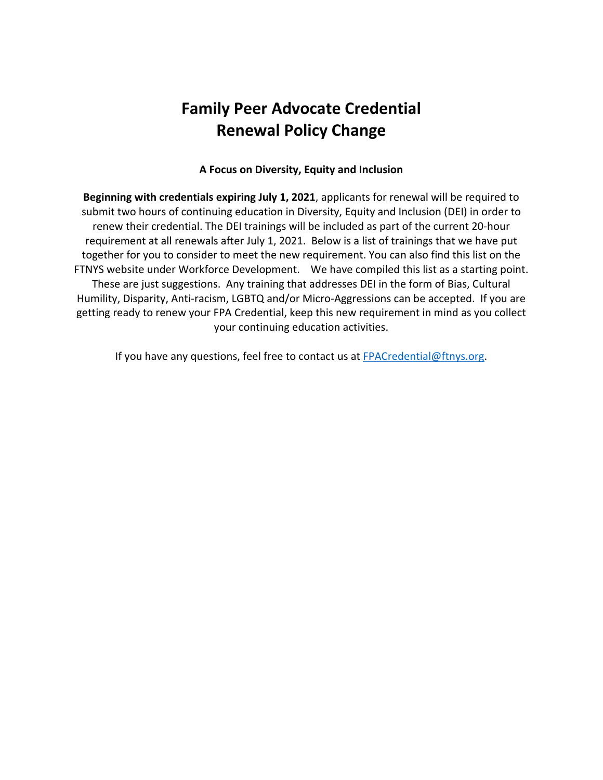## **Family Peer Advocate Credential Renewal Policy Change**

## **A Focus on Diversity, Equity and Inclusion**

**Beginning with credentials expiring July 1, 2021**, applicants for renewal will be required to submit two hours of continuing education in Diversity, Equity and Inclusion (DEI) in order to renew their credential. The DEI trainings will be included as part of the current 20-hour requirement at all renewals after July 1, 2021. Below is a list of trainings that we have put together for you to consider to meet the new requirement. You can also find this list on the FTNYS website under Workforce Development. We have compiled this list as a starting point. These are just suggestions. Any training that addresses DEI in the form of Bias, Cultural Humility, Disparity, Anti-racism, LGBTQ and/or Micro-Aggressions can be accepted. If you are getting ready to renew your FPA Credential, keep this new requirement in mind as you collect your continuing education activities.

If you have any questions, feel free to contact us at FPACredential@ftnys.org.